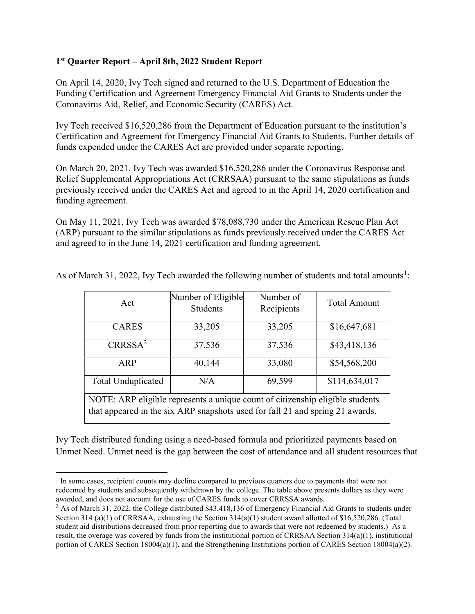## 1 st Quarter Report – April 8th, 2022 Student Report

On April 14, 2020, Ivy Tech signed and returned to the U.S. Department of Education the Funding Certification and Agreement Emergency Financial Aid Grants to Students under the Coronavirus Aid, Relief, and Economic Security (CARES) Act.

Ivy Tech received \$16,520,286 from the Department of Education pursuant to the institution's Certification and Agreement for Emergency Financial Aid Grants to Students. Further details of funds expended under the CARES Act are provided under separate reporting.

On March 20, 2021, Ivy Tech was awarded \$16,520,286 under the Coronavirus Response and Relief Supplemental Appropriations Act (CRRSAA) pursuant to the same stipulations as funds previously received under the CARES Act and agreed to in the April 14, 2020 certification and funding agreement.

On May 11, 2021, Ivy Tech was awarded \$78,088,730 under the American Rescue Plan Act (ARP) pursuant to the similar stipulations as funds previously received under the CARES Act and agreed to in the June 14, 2021 certification and funding agreement.

| Act                                                                           | Number of Eligible<br><b>Students</b> | Number of<br>Recipients | <b>Total Amount</b> |
|-------------------------------------------------------------------------------|---------------------------------------|-------------------------|---------------------|
| <b>CARES</b>                                                                  | 33,205                                | 33,205                  | \$16,647,681        |
| CRRSSA <sup>2</sup>                                                           | 37,536                                | 37,536                  | \$43,418,136        |
| <b>ARP</b>                                                                    | 40,144                                | 33,080                  | \$54,568,200        |
| <b>Total Unduplicated</b>                                                     | N/A                                   | 69,599                  | \$114,634,017       |
| NOTE: ARP eligible represents a unique count of citizenship eligible students |                                       |                         |                     |
| that appeared in the six ARP snapshots used for fall 21 and spring 21 awards. |                                       |                         |                     |

As of March 31, 2022, Ivy Tech awarded the following number of students and total amounts<sup>1</sup>:

Ivy Tech distributed funding using a need-based formula and prioritized payments based on Unmet Need. Unmet need is the gap between the cost of attendance and all student resources that

<sup>&</sup>lt;sup>1</sup> In some cases, recipient counts may decline compared to previous quarters due to payments that were not redeemed by students and subsequently withdrawn by the college. The table above presents dollars as they were awarded, and does not account for the use of CARES funds to cover CRRSSA awards.

<sup>&</sup>lt;sup>2</sup> As of March 31, 2022, the College distributed \$43,418,136 of Emergency Financial Aid Grants to students under Section 314 (a)(1) of CRRSAA, exhausting the Section 314(a)(1) student award allotted of \$16,520,286. (Total student aid distributions decreased from prior reporting due to awards that were not redeemed by students.) As a result, the overage was covered by funds from the institutional portion of CRRSAA Section 314(a)(1), institutional portion of CARES Section 18004(a)(1), and the Strengthening Institutions portion of CARES Section 18004(a)(2).